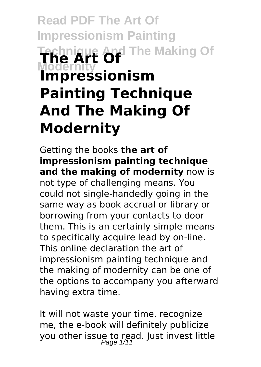# **Read PDF The Art Of Impressionism Painting Technique And The Making Of Modernity The Art Of Impressionism Painting Technique And The Making Of Modernity**

Getting the books **the art of impressionism painting technique and the making of modernity** now is not type of challenging means. You could not single-handedly going in the same way as book accrual or library or borrowing from your contacts to door them. This is an certainly simple means to specifically acquire lead by on-line. This online declaration the art of impressionism painting technique and the making of modernity can be one of the options to accompany you afterward having extra time.

It will not waste your time. recognize me, the e-book will definitely publicize you other issue to read. Just invest little<br>Page 1/11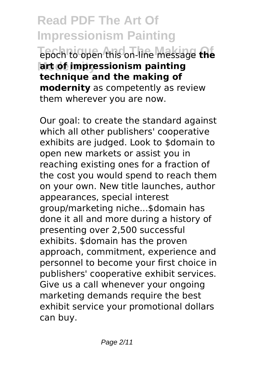**Read PDF The Art Of Impressionism Painting Technique And The Making Of** epoch to open this on-line message **the Modernity art of impressionism painting technique and the making of modernity** as competently as review them wherever you are now.

Our goal: to create the standard against which all other publishers' cooperative exhibits are judged. Look to \$domain to open new markets or assist you in reaching existing ones for a fraction of the cost you would spend to reach them on your own. New title launches, author appearances, special interest group/marketing niche...\$domain has done it all and more during a history of presenting over 2,500 successful exhibits. \$domain has the proven approach, commitment, experience and personnel to become your first choice in publishers' cooperative exhibit services. Give us a call whenever your ongoing marketing demands require the best exhibit service your promotional dollars can buy.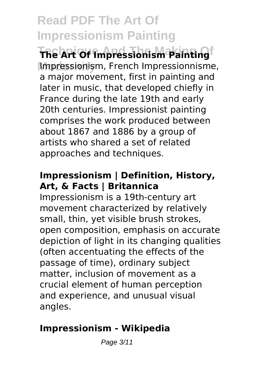**The Art Of Impressionism Painting Modernity** Impressionism, French Impressionnisme, a major movement, first in painting and later in music, that developed chiefly in France during the late 19th and early 20th centuries. Impressionist painting comprises the work produced between about 1867 and 1886 by a group of artists who shared a set of related approaches and techniques.

# **Impressionism | Definition, History, Art, & Facts | Britannica**

Impressionism is a 19th-century art movement characterized by relatively small, thin, yet visible brush strokes, open composition, emphasis on accurate depiction of light in its changing qualities (often accentuating the effects of the passage of time), ordinary subject matter, inclusion of movement as a crucial element of human perception and experience, and unusual visual angles.

# **Impressionism - Wikipedia**

Page 3/11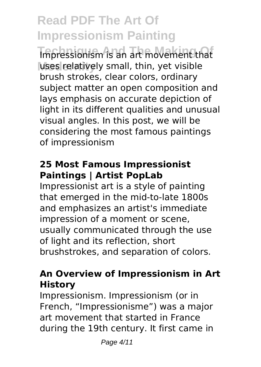**Impressionism** is an art movement that uses relatively small, thin, yet visible brush strokes, clear colors, ordinary subject matter an open composition and lays emphasis on accurate depiction of light in its different qualities and unusual visual angles. In this post, we will be considering the most famous paintings of impressionism

# **25 Most Famous Impressionist Paintings | Artist PopLab**

Impressionist art is a style of painting that emerged in the mid-to-late 1800s and emphasizes an artist's immediate impression of a moment or scene, usually communicated through the use of light and its reflection, short brushstrokes, and separation of colors.

### **An Overview of Impressionism in Art History**

Impressionism. Impressionism (or in French, "Impressionisme") was a major art movement that started in France during the 19th century. It first came in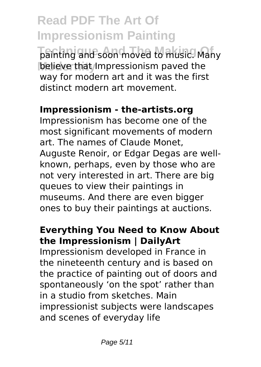**Read PDF The Art Of Impressionism Painting Technique And The Making Of** painting and soon moved to music. Many believe that Impressionism paved the way for modern art and it was the first distinct modern art movement.

### **Impressionism - the-artists.org**

Impressionism has become one of the most significant movements of modern art. The names of Claude Monet, Auguste Renoir, or Edgar Degas are wellknown, perhaps, even by those who are not very interested in art. There are big queues to view their paintings in museums. And there are even bigger ones to buy their paintings at auctions.

# **Everything You Need to Know About the Impressionism | DailyArt**

Impressionism developed in France in the nineteenth century and is based on the practice of painting out of doors and spontaneously 'on the spot' rather than in a studio from sketches. Main impressionist subjects were landscapes and scenes of everyday life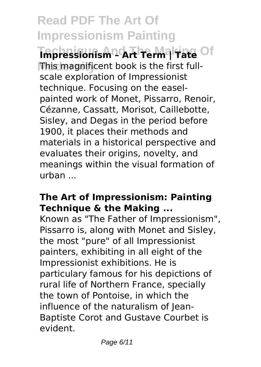Tmpressionism Lort Term Trate Of **Modernity** This magnificent book is the first fullscale exploration of Impressionist technique. Focusing on the easelpainted work of Monet, Pissarro, Renoir, Cézanne, Cassatt, Morisot, Caillebotte, Sisley, and Degas in the period before 1900, it places their methods and materials in a historical perspective and evaluates their origins, novelty, and meanings within the visual formation of urban ...

#### **The Art of Impressionism: Painting Technique & the Making ...**

Known as "The Father of Impressionism", Pissarro is, along with Monet and Sisley, the most "pure" of all Impressionist painters, exhibiting in all eight of the Impressionist exhibitions. He is particulary famous for his depictions of rural life of Northern France, specially the town of Pontoise, in which the influence of the naturalism of Jean-Baptiste Corot and Gustave Courbet is evident.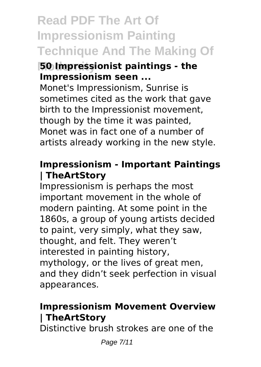# **Read PDF The Art Of Impressionism Painting Technique And The Making Of**

#### **Hotal Impressionist paintings - the Impressionism seen ...**

Monet's Impressionism, Sunrise is sometimes cited as the work that gave birth to the Impressionist movement, though by the time it was painted, Monet was in fact one of a number of artists already working in the new style.

#### **Impressionism - Important Paintings | TheArtStory**

Impressionism is perhaps the most important movement in the whole of modern painting. At some point in the 1860s, a group of young artists decided to paint, very simply, what they saw, thought, and felt. They weren't interested in painting history, mythology, or the lives of great men, and they didn't seek perfection in visual appearances.

# **Impressionism Movement Overview | TheArtStory**

Distinctive brush strokes are one of the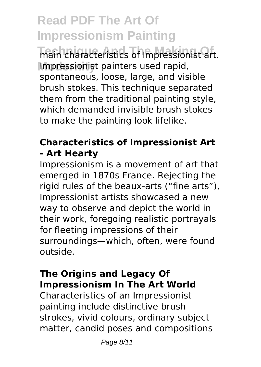**Technique And The Making Of** main characteristics of Impressionist art. **Modernity** Impressionist painters used rapid, spontaneous, loose, large, and visible brush stokes. This technique separated them from the traditional painting style, which demanded invisible brush stokes to make the painting look lifelike.

# **Characteristics of Impressionist Art - Art Hearty**

Impressionism is a movement of art that emerged in 1870s France. Rejecting the rigid rules of the beaux-arts ("fine arts"), Impressionist artists showcased a new way to observe and depict the world in their work, foregoing realistic portrayals for fleeting impressions of their surroundings—which, often, were found outside.

# **The Origins and Legacy Of Impressionism In The Art World**

Characteristics of an Impressionist painting include distinctive brush strokes, vivid colours, ordinary subject matter, candid poses and compositions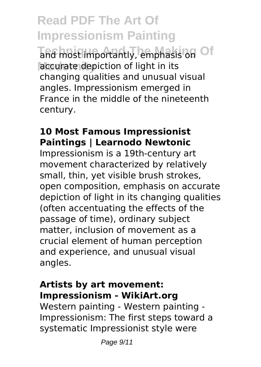**Read PDF The Art Of Impressionism Painting** and most importantly, emphasis on Of accurate depiction of light in its changing qualities and unusual visual angles. Impressionism emerged in France in the middle of the nineteenth century.

### **10 Most Famous Impressionist Paintings | Learnodo Newtonic**

Impressionism is a 19th-century art movement characterized by relatively small, thin, yet visible brush strokes, open composition, emphasis on accurate depiction of light in its changing qualities (often accentuating the effects of the passage of time), ordinary subject matter, inclusion of movement as a crucial element of human perception and experience, and unusual visual angles.

### **Artists by art movement: Impressionism - WikiArt.org**

Western painting - Western painting - Impressionism: The first steps toward a systematic Impressionist style were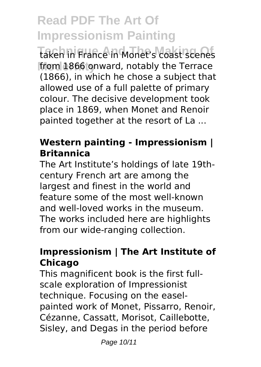**Taken in France in Monet's coast scenes** from 1866 onward, notably the Terrace (1866), in which he chose a subject that allowed use of a full palette of primary colour. The decisive development took place in 1869, when Monet and Renoir painted together at the resort of La ...

### **Western painting - Impressionism | Britannica**

The Art Institute's holdings of late 19thcentury French art are among the largest and finest in the world and feature some of the most well-known and well-loved works in the museum. The works included here are highlights from our wide-ranging collection.

# **Impressionism | The Art Institute of Chicago**

This magnificent book is the first fullscale exploration of Impressionist technique. Focusing on the easelpainted work of Monet, Pissarro, Renoir, Cézanne, Cassatt, Morisot, Caillebotte, Sisley, and Degas in the period before